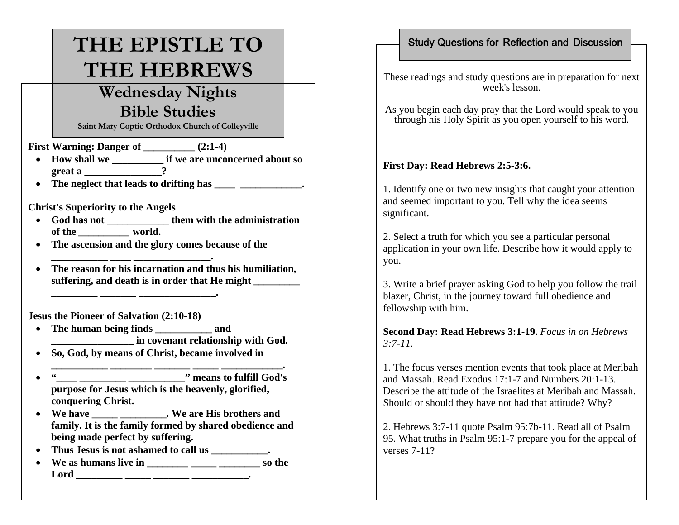# **THE EPISTLE TO THE HEBREWS**

## **Wednesday Nights Bible Studies**

**Saint Mary Coptic Orthodox Church of Colleyville**

**First Warning: Danger of \_\_\_\_\_\_\_\_\_ (2:1-4)** 

- **How shall we \_\_\_\_\_\_\_\_\_\_ if we are unconcerned about so great a \_\_\_\_\_\_\_\_\_\_\_\_\_\_\_?**
- The neglect that leads to drifting has  $\cdot$

**Christ's Superiority to the Angels**

- **God has not \_\_\_\_\_\_\_\_\_\_\_\_ them with the administration of the**  *\_\_\_\_\_\_\_\_\_\_*  **world.**
- **The ascension and the glory comes because of the**

**\_\_\_\_\_\_\_\_\_\_\_ \_\_\_\_ \_\_\_\_\_\_\_\_\_\_\_\_\_\_\_.** 

• **The reason for his incarnation and thus his humiliation,**  suffering, and death is in order that He might

**Jesus the Pioneer of Salvation (2:10-18)** 

- **The human being finds \_\_\_\_\_\_\_\_\_\_\_ and \_\_\_\_\_\_\_\_\_\_\_\_\_\_\_\_ in covenant relationship with God.**
- **So, God, by means of Christ, became involved in**

**\_\_\_\_\_\_\_\_\_ \_\_\_\_\_\_\_ \_\_\_\_\_\_\_\_\_\_\_\_\_\_\_.** 

• **"** means to fulfill God's **purpose for Jesus which is the heavenly, glorified, conquering Christ.** 

**\_\_\_\_\_\_\_\_\_\_\_ \_\_\_\_\_\_\_\_ \_\_\_\_\_\_\_ \_\_\_\_\_ \_\_\_\_\_\_\_\_\_\_\_\_.** 

- **We have \_\_\_\_\_ \_\_\_\_\_\_\_\_\_. We are His brothers and family. It is the family formed by shared obedience and being made perfect by suffering.**
- **Thus Jesus is not ashamed to call us \_\_\_\_\_\_\_\_\_\_\_.**
- **We as humans live in \_\_\_\_\_\_\_\_ \_\_\_\_\_ \_\_\_\_\_\_\_\_ so the Lord \_\_\_\_\_\_\_\_\_ \_\_\_\_\_ \_\_\_\_\_\_\_ \_\_\_\_\_\_\_\_\_\_\_.**

#### Study Questions for Reflection and Discussion

These readings and study questions are in preparation for next week's lesson.

As you begin each day pray that the Lord would speak to you through his Holy Spirit as you open yourself to his word.

### **First Day: Read Hebrews 2:5-3:6.**

1. Identify one or two new insights that caught your attention and seemed important to you. Tell why the idea seems significant.

2. Select a truth for which you see a particular personal application in your own life. Describe how it would apply to you.

3. Write a brief prayer asking God to help you follow the trail blazer, Christ, in the journey toward full obedience and fellowship with him.

**Second Day: Read Hebrews 3:1-19.** *Focus in on Hebrews 3:7-11.*

1. The focus verses mention events that took place at Meribah and Massah. Read Exodus 17:1-7 and Numbers 20:1-13. Describe the attitude of the Israelites at Meribah and Massah. Should or should they have not had that attitude? Why?

2. Hebrews 3:7-11 quote Psalm 95:7b-11. Read all of Psalm 95. What truths in Psalm 95:1-7 prepare you for the appeal of verses 7-11?